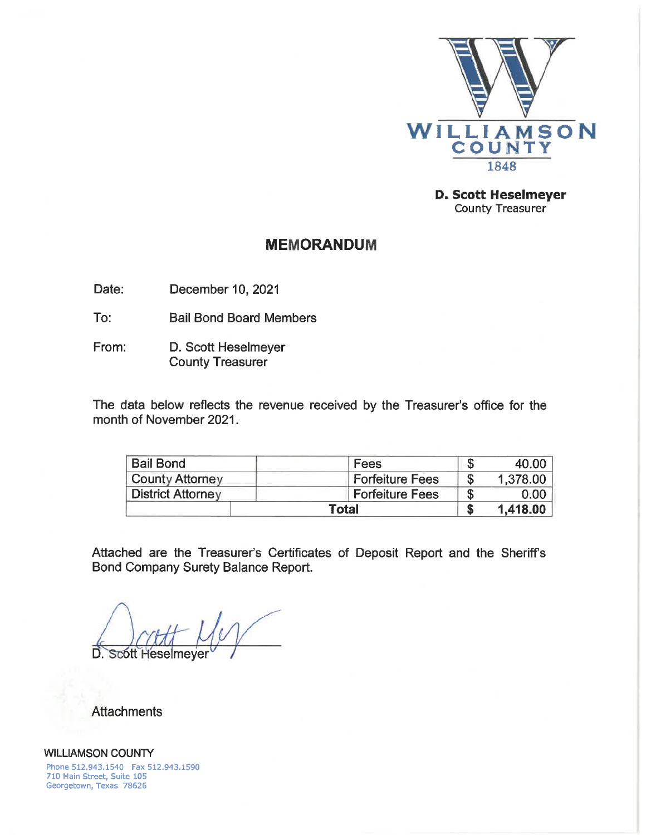

**D. Scott Heselmeyer County Treasurer** 

## **MEMORANDUM**

December 10, 2021 Date:

To: **Bail Bond Board Members** 

D. Scott Heselmeyer From: **County Treasurer** 

The data below reflects the revenue received by the Treasurer's office for the month of November 2021.

| <b>Bail Bond</b>         | Fees                   | мĐ | 40.00    |
|--------------------------|------------------------|----|----------|
| <b>County Attorney</b>   | <b>Forfeiture Fees</b> |    | 1,378.00 |
| <b>District Attorney</b> | <b>Forfeiture Fees</b> |    | 0.00     |
|                          | <b>Total</b>           |    | 1,418.00 |

Attached are the Treasurer's Certificates of Deposit Report and the Sheriff's Bond Company Surety Balance Report.

D. **Scott Heselmeve** 

**Attachments** 

**WILLIAMSON COUNTY** Phone 512,943.1540 Fax 512.943.1590 710 Main Street, Suite 105 Georgetown, Texas 78626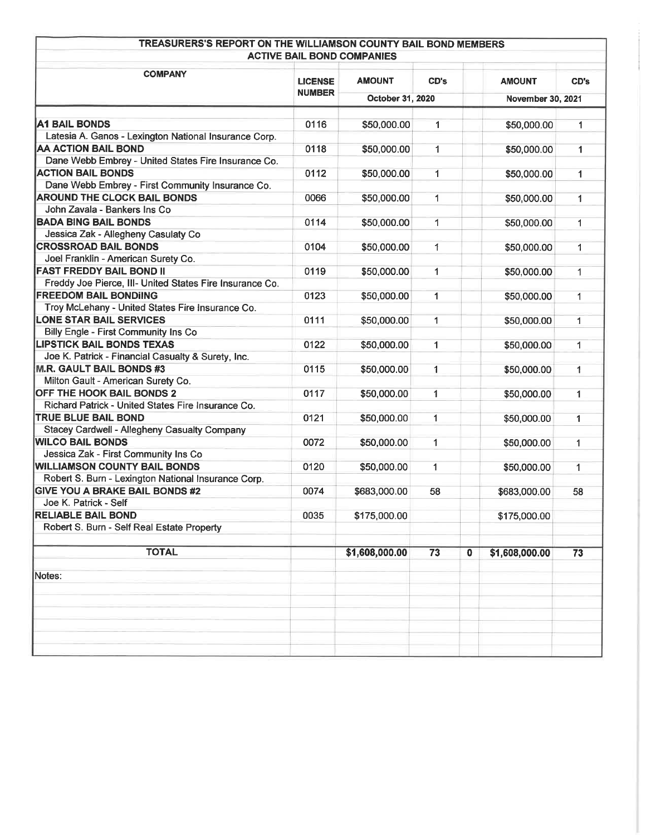| TREASURERS'S REPORT ON THE WILLIAMSON COUNTY BAIL BOND MEMBERS<br><b>ACTIVE BAIL BOND COMPANIES</b> |                                 |                  |              |             |                   |              |
|-----------------------------------------------------------------------------------------------------|---------------------------------|------------------|--------------|-------------|-------------------|--------------|
| <b>COMPANY</b>                                                                                      | <b>AMOUNT</b><br><b>LICENSE</b> |                  | CD's         |             | <b>AMOUNT</b>     | CD's         |
|                                                                                                     | <b>NUMBER</b>                   | October 31, 2020 |              |             | November 30, 2021 |              |
| <b>A1 BAIL BONDS</b>                                                                                | 0116                            | \$50,000.00      | $\mathbf{1}$ |             | \$50,000.00       | 1            |
| Latesia A. Ganos - Lexington National Insurance Corp.                                               |                                 |                  |              |             |                   |              |
| <b>AA ACTION BAIL BOND</b>                                                                          | 0118                            | \$50,000.00      | 1            |             | \$50,000.00       | 1            |
| Dane Webb Embrey - United States Fire Insurance Co.                                                 |                                 |                  |              |             |                   |              |
| <b>ACTION BAIL BONDS</b>                                                                            | 0112                            | \$50,000.00      | 1            |             | \$50,000.00       | $\mathbf{1}$ |
| Dane Webb Embrey - First Community Insurance Co.                                                    |                                 |                  |              |             |                   |              |
| <b>AROUND THE CLOCK BAIL BONDS</b>                                                                  | 0066                            | \$50,000.00      | 1            |             | \$50,000.00       | 1            |
| John Zavala - Bankers Ins Co                                                                        |                                 |                  |              |             |                   |              |
| <b>BADA BING BAIL BONDS</b>                                                                         | 0114                            | \$50,000.00      | $\mathbf{1}$ |             | \$50,000.00       | 1            |
| Jessica Zak - Allegheny Casulaty Co                                                                 |                                 |                  |              |             |                   |              |
| <b>CROSSROAD BAIL BONDS</b>                                                                         | 0104                            |                  | 1            |             |                   |              |
| Joel Franklin - American Surety Co.                                                                 |                                 | \$50,000.00      |              |             | \$50,000.00       | 1            |
| <b>FAST FREDDY BAIL BOND II</b>                                                                     |                                 |                  |              |             |                   |              |
|                                                                                                     | 0119                            | \$50,000.00      | 1            |             | \$50,000.00       | 1            |
| Freddy Joe Pierce, III- United States Fire Insurance Co.<br><b>FREEDOM BAIL BONDIING</b>            |                                 |                  |              |             |                   |              |
|                                                                                                     | 0123                            | \$50,000.00      | $\mathbf{1}$ |             | \$50,000.00       | $\mathbf{1}$ |
| Troy McLehany - United States Fire Insurance Co.                                                    |                                 |                  |              |             |                   |              |
| <b>LONE STAR BAIL SERVICES</b>                                                                      | 0111                            | \$50,000.00      | 1            |             | \$50,000.00       | 1            |
| Billy Engle - First Community Ins Co                                                                |                                 |                  |              |             |                   |              |
| <b>LIPSTICK BAIL BONDS TEXAS</b>                                                                    | 0122                            | \$50,000.00      | $\mathbf{1}$ |             | \$50,000.00       | 1            |
| Joe K. Patrick - Financial Casualty & Surety, Inc.                                                  |                                 |                  |              |             |                   |              |
| <b>M.R. GAULT BAIL BONDS #3</b>                                                                     | 0115                            | \$50,000.00      | $\mathbf{1}$ |             | \$50,000.00       | $\mathbf{1}$ |
| Milton Gault - American Surety Co.                                                                  |                                 |                  |              |             |                   |              |
| OFF THE HOOK BAIL BONDS 2                                                                           | 0117                            | \$50,000.00      | $\mathbf{1}$ |             | \$50,000.00       | 1            |
| Richard Patrick - United States Fire Insurance Co.                                                  |                                 |                  |              |             |                   |              |
| TRUE BLUE BAIL BOND                                                                                 | 0121                            | \$50,000.00      | $\mathbf{1}$ |             | \$50,000.00       | $\mathbf{1}$ |
| Stacey Cardwell - Allegheny Casualty Company                                                        |                                 |                  |              |             |                   |              |
| <b>WILCO BAIL BONDS</b>                                                                             | 0072                            | \$50,000.00      | $\mathbf{1}$ |             | \$50,000.00       | 1            |
| Jessica Zak - First Community Ins Co                                                                |                                 |                  |              |             |                   |              |
| <b>WILLIAMSON COUNTY BAIL BONDS</b>                                                                 | 0120                            | \$50,000.00      | $\mathbf{1}$ |             | \$50,000.00       | $\mathbf{1}$ |
| Robert S. Burn - Lexington National Insurance Corp.                                                 |                                 |                  |              |             |                   |              |
| <b>GIVE YOU A BRAKE BAIL BONDS #2</b>                                                               | 0074                            | \$683,000.00     | 58           |             | \$683,000.00      | 58           |
| Joe K. Patrick - Self                                                                               |                                 |                  |              |             |                   |              |
| <b>RELIABLE BAIL BOND</b>                                                                           | 0035                            | \$175,000.00     |              |             | \$175,000.00      |              |
| Robert S. Burn - Self Real Estate Property                                                          |                                 |                  |              |             |                   |              |
| <b>TOTAL</b>                                                                                        |                                 | \$1,608,000.00   | 73           | $\mathbf 0$ | \$1,608,000.00    | 73           |
| Notes:                                                                                              |                                 |                  |              |             |                   |              |
|                                                                                                     |                                 |                  |              |             |                   |              |
|                                                                                                     |                                 |                  |              |             |                   |              |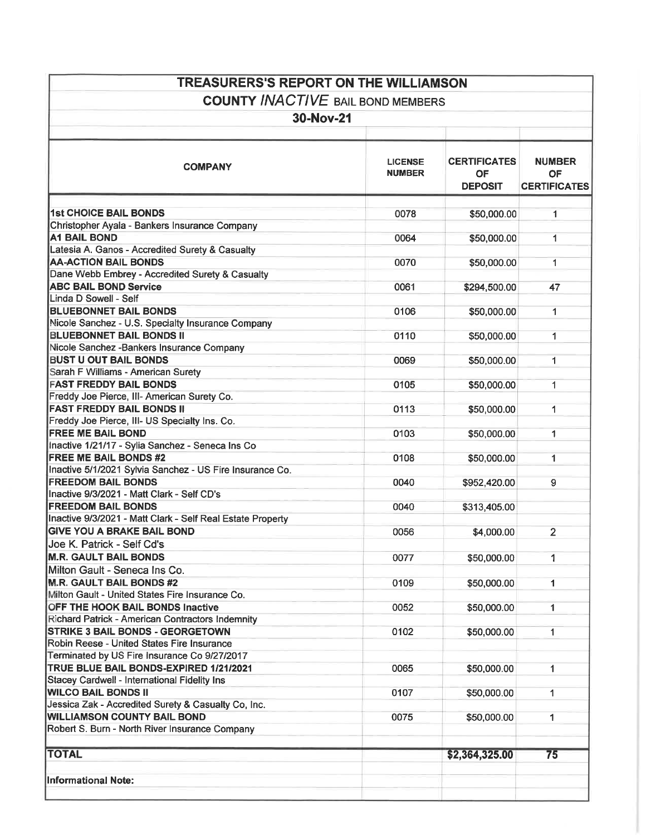| <b>TREASURERS'S REPORT ON THE WILLIAMSON</b>               |                                 |                                                    |                                                   |  |  |  |
|------------------------------------------------------------|---------------------------------|----------------------------------------------------|---------------------------------------------------|--|--|--|
| <b>COUNTY INACTIVE BAIL BOND MEMBERS</b>                   |                                 |                                                    |                                                   |  |  |  |
| 30-Nov-21                                                  |                                 |                                                    |                                                   |  |  |  |
|                                                            |                                 |                                                    |                                                   |  |  |  |
| <b>COMPANY</b>                                             | <b>LICENSE</b><br><b>NUMBER</b> | <b>CERTIFICATES</b><br><b>OF</b><br><b>DEPOSIT</b> | <b>NUMBER</b><br><b>OF</b><br><b>CERTIFICATES</b> |  |  |  |
| <b>1st CHOICE BAIL BONDS</b>                               | 0078                            | \$50,000.00                                        | $\mathbf{1}$                                      |  |  |  |
| Christopher Ayala - Bankers Insurance Company              |                                 |                                                    |                                                   |  |  |  |
| <b>A1 BAIL BOND</b>                                        | 0064                            | \$50,000.00                                        | 1                                                 |  |  |  |
| Latesia A. Ganos - Accredited Surety & Casualty            |                                 |                                                    |                                                   |  |  |  |
| <b>AA-ACTION BAIL BONDS</b>                                | 0070                            | \$50,000.00                                        | $\mathbf{1}$                                      |  |  |  |
| Dane Webb Embrey - Accredited Surety & Casualty            |                                 |                                                    |                                                   |  |  |  |
| <b>ABC BAIL BOND Service</b>                               | 0061                            | \$294,500.00                                       | 47                                                |  |  |  |
| Linda D Sowell - Self                                      |                                 |                                                    |                                                   |  |  |  |
| <b>BLUEBONNET BAIL BONDS</b>                               | 0106                            | \$50,000.00                                        | $\mathbf{1}$                                      |  |  |  |
| Nicole Sanchez - U.S. Specialty Insurance Company          |                                 |                                                    |                                                   |  |  |  |
| <b>BLUEBONNET BAIL BONDS II</b>                            | 0110                            | \$50,000.00                                        | 1                                                 |  |  |  |
| Nicole Sanchez - Bankers Insurance Company                 |                                 |                                                    |                                                   |  |  |  |
| <b>BUST U OUT BAIL BONDS</b>                               | 0069                            | \$50,000.00                                        | 1                                                 |  |  |  |
| Sarah F Williams - American Surety                         |                                 |                                                    |                                                   |  |  |  |
| <b>FAST FREDDY BAIL BONDS</b>                              | 0105                            | \$50,000.00                                        | 1                                                 |  |  |  |
| Freddy Joe Pierce, III- American Surety Co.                |                                 |                                                    |                                                   |  |  |  |
| <b>FAST FREDDY BAIL BONDS II</b>                           | 0113                            | \$50,000.00                                        | 1                                                 |  |  |  |
| Freddy Joe Pierce, III- US Specialty Ins. Co.              |                                 |                                                    |                                                   |  |  |  |
| <b>FREE ME BAIL BOND</b>                                   | 0103                            | \$50,000.00                                        | 1.                                                |  |  |  |
| Inactive 1/21/17 - Sylia Sanchez - Seneca Ins Co           |                                 |                                                    |                                                   |  |  |  |
| <b>FREE ME BAIL BONDS #2</b>                               | 0108                            | \$50,000.00                                        | $\mathbf{1}$                                      |  |  |  |
| Inactive 5/1/2021 Sylvia Sanchez - US Fire Insurance Co.   |                                 |                                                    |                                                   |  |  |  |
| <b>FREEDOM BAIL BONDS</b>                                  | 0040                            | \$952,420.00                                       | 9                                                 |  |  |  |
| Inactive 9/3/2021 - Matt Clark - Self CD's                 |                                 |                                                    |                                                   |  |  |  |
| <b>FREEDOM BAIL BONDS</b>                                  | 0040                            | \$313,405.00                                       |                                                   |  |  |  |
| Inactive 9/3/2021 - Matt Clark - Self Real Estate Property |                                 |                                                    |                                                   |  |  |  |
| <b>GIVE YOU A BRAKE BAIL BOND</b>                          | 0056                            | \$4,000.00                                         | $\overline{2}$                                    |  |  |  |
| Joe K. Patrick - Self Cd's                                 |                                 |                                                    |                                                   |  |  |  |
| <b>M.R. GAULT BAIL BONDS</b>                               |                                 |                                                    |                                                   |  |  |  |
|                                                            | 0077                            | \$50,000.00                                        | 1                                                 |  |  |  |
| Milton Gault - Seneca Ins Co.                              |                                 |                                                    |                                                   |  |  |  |
| <b>M.R. GAULT BAIL BONDS #2</b>                            | 0109                            | \$50,000.00                                        | $\mathbf{1}$                                      |  |  |  |
| Milton Gault - United States Fire Insurance Co.            |                                 |                                                    |                                                   |  |  |  |
| OFF THE HOOK BAIL BONDS Inactive                           | 0052                            | \$50,000.00                                        | 1                                                 |  |  |  |
| Richard Patrick - American Contractors Indemnity           |                                 |                                                    |                                                   |  |  |  |
| <b>STRIKE 3 BAIL BONDS - GEORGETOWN</b>                    | 0102                            | \$50,000.00                                        | 1                                                 |  |  |  |
| Robin Reese - United States Fire Insurance                 |                                 |                                                    |                                                   |  |  |  |
| Terminated by US Fire Insurance Co 9/27/2017               |                                 |                                                    |                                                   |  |  |  |
| TRUE BLUE BAIL BONDS-EXPIRED 1/21/2021                     | 0065                            | \$50,000.00                                        | 1                                                 |  |  |  |
| Stacey Cardwell - International Fidelity Ins               |                                 |                                                    |                                                   |  |  |  |
| <b>WILCO BAIL BONDS II</b>                                 | 0107                            | \$50,000.00                                        | 1                                                 |  |  |  |
| Jessica Zak - Accredited Surety & Casualty Co, Inc.        |                                 |                                                    |                                                   |  |  |  |
| <b>WILLIAMSON COUNTY BAIL BOND</b>                         | 0075                            | \$50,000.00                                        | 1                                                 |  |  |  |
| Robert S. Burn - North River Insurance Company             |                                 |                                                    |                                                   |  |  |  |
| <b>TOTAL</b>                                               |                                 | \$2,364,325.00                                     | 75                                                |  |  |  |
|                                                            |                                 |                                                    |                                                   |  |  |  |
| <b>Informational Note:</b>                                 |                                 |                                                    |                                                   |  |  |  |
|                                                            |                                 |                                                    |                                                   |  |  |  |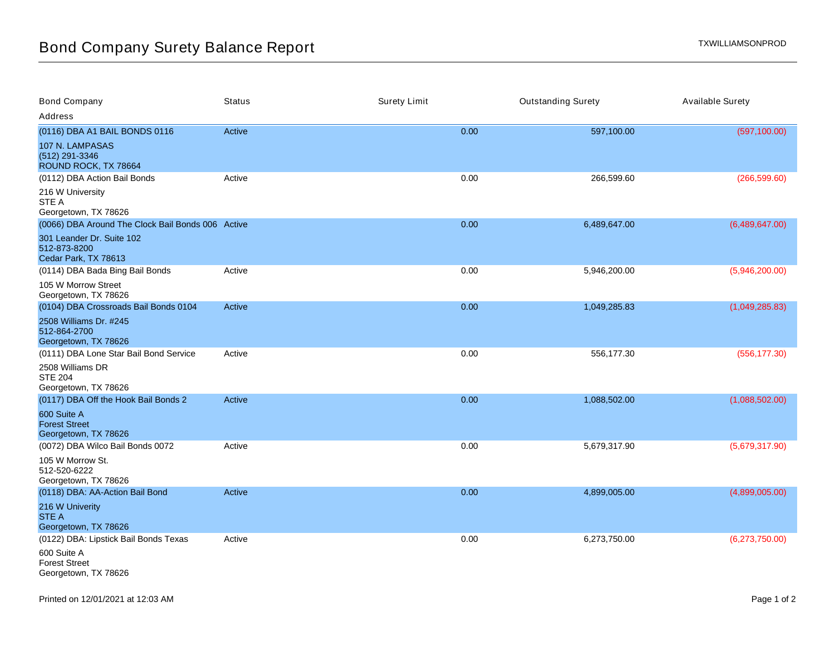| <b>Bond Company</b>                                               | <b>Status</b> | <b>Surety Limit</b> | <b>Outstanding Surety</b> | <b>Available Surety</b> |
|-------------------------------------------------------------------|---------------|---------------------|---------------------------|-------------------------|
| Address                                                           |               |                     |                           |                         |
| (0116) DBA A1 BAIL BONDS 0116                                     | Active        | 0.00                | 597,100.00                | (597, 100.00)           |
| 107 N. LAMPASAS<br>(512) 291-3346<br>ROUND ROCK, TX 78664         |               |                     |                           |                         |
| (0112) DBA Action Bail Bonds                                      | Active        | 0.00                | 266,599.60                | (266, 599.60)           |
| 216 W University<br>STE A<br>Georgetown, TX 78626                 |               |                     |                           |                         |
| (0066) DBA Around The Clock Bail Bonds 006 Active                 |               | 0.00                | 6,489,647.00              | (6,489,647.00)          |
| 301 Leander Dr. Suite 102<br>512-873-8200<br>Cedar Park, TX 78613 |               |                     |                           |                         |
| (0114) DBA Bada Bing Bail Bonds                                   | Active        | 0.00                | 5,946,200.00              | (5,946,200.00)          |
| 105 W Morrow Street<br>Georgetown, TX 78626                       |               |                     |                           |                         |
| (0104) DBA Crossroads Bail Bonds 0104                             | Active        | 0.00                | 1,049,285.83              | (1,049,285.83)          |
| 2508 Williams Dr. #245<br>512-864-2700<br>Georgetown, TX 78626    |               |                     |                           |                         |
| (0111) DBA Lone Star Bail Bond Service                            | Active        | 0.00                | 556,177.30                | (556, 177.30)           |
| 2508 Williams DR<br><b>STE 204</b><br>Georgetown, TX 78626        |               |                     |                           |                         |
| (0117) DBA Off the Hook Bail Bonds 2                              | Active        | 0.00                | 1,088,502.00              | (1,088,502.00)          |
| 600 Suite A<br><b>Forest Street</b><br>Georgetown, TX 78626       |               |                     |                           |                         |
| (0072) DBA Wilco Bail Bonds 0072                                  | Active        | 0.00                | 5,679,317.90              | (5,679,317.90)          |
| 105 W Morrow St.<br>512-520-6222<br>Georgetown, TX 78626          |               |                     |                           |                         |
| (0118) DBA: AA-Action Bail Bond                                   | Active        | 0.00                | 4,899,005.00              | (4,899,005.00)          |
| 216 W Univerity<br><b>STE A</b><br>Georgetown, TX 78626           |               |                     |                           |                         |
| (0122) DBA: Lipstick Bail Bonds Texas                             | Active        | 0.00                | 6,273,750.00              | (6,273,750.00)          |
| 600 Suite A<br><b>Forest Street</b><br>Georgetown, TX 78626       |               |                     |                           |                         |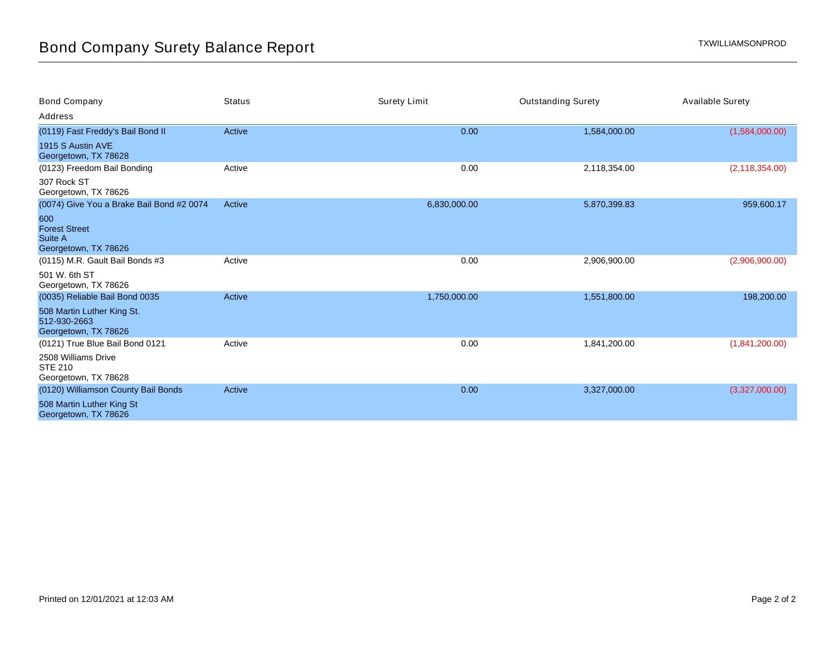| <b>Bond Company</b>                                                | <b>Status</b> | <b>Surety Limit</b> | <b>Outstanding Surety</b> | <b>Available Surety</b> |
|--------------------------------------------------------------------|---------------|---------------------|---------------------------|-------------------------|
| Address                                                            |               |                     |                           |                         |
| (0119) Fast Freddy's Bail Bond II                                  | Active        | 0.00                | 1,584,000.00              | (1,584,000.00)          |
| 1915 S Austin AVE<br>Georgetown, TX 78628                          |               |                     |                           |                         |
| (0123) Freedom Bail Bonding                                        | Active        | 0.00                | 2,118,354.00              | (2, 118, 354.00)        |
| 307 Rock ST<br>Georgetown, TX 78626                                |               |                     |                           |                         |
| (0074) Give You a Brake Bail Bond #2 0074                          | Active        | 6,830,000.00        | 5,870,399.83              | 959,600.17              |
| 600<br><b>Forest Street</b><br>Suite A<br>Georgetown, TX 78626     |               |                     |                           |                         |
| (0115) M.R. Gault Bail Bonds #3                                    | Active        | 0.00                | 2,906,900.00              | (2,906,900.00)          |
| 501 W. 6th ST<br>Georgetown, TX 78626                              |               |                     |                           |                         |
| (0035) Reliable Bail Bond 0035                                     | Active        | 1,750,000.00        | 1,551,800.00              | 198,200.00              |
| 508 Martin Luther King St.<br>512-930-2663<br>Georgetown, TX 78626 |               |                     |                           |                         |
| (0121) True Blue Bail Bond 0121                                    | Active        | 0.00                | 1,841,200.00              | (1,841,200.00)          |
| 2508 Williams Drive<br><b>STE 210</b><br>Georgetown, TX 78628      |               |                     |                           |                         |
| (0120) Williamson County Bail Bonds                                | Active        | 0.00                | 3,327,000.00              | (3,327,000.00)          |
| 508 Martin Luther King St<br>Georgetown, TX 78626                  |               |                     |                           |                         |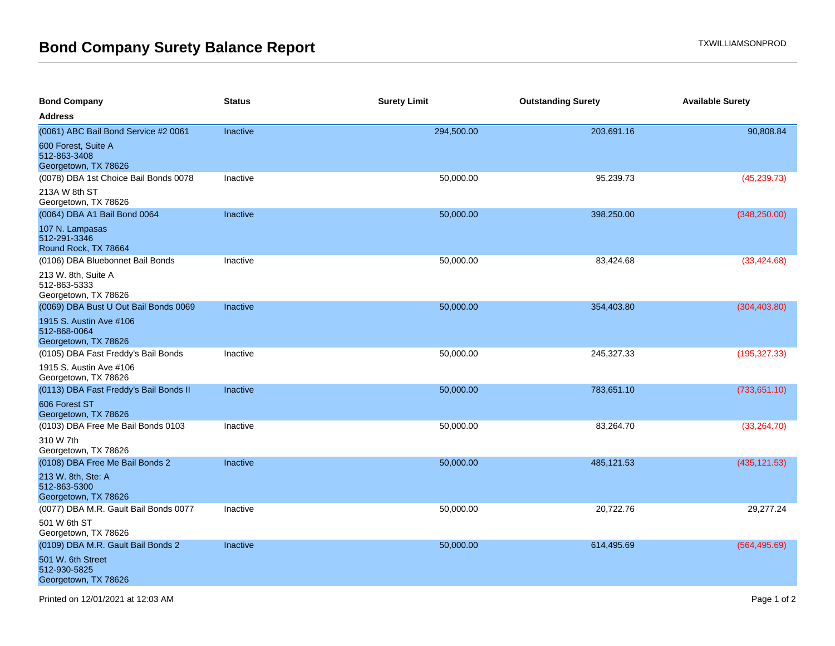| <b>Bond Company</b>                                             | <b>Status</b> | <b>Surety Limit</b> | <b>Outstanding Surety</b> | <b>Available Surety</b> |
|-----------------------------------------------------------------|---------------|---------------------|---------------------------|-------------------------|
| <b>Address</b>                                                  |               |                     |                           |                         |
| (0061) ABC Bail Bond Service #2 0061                            | Inactive      | 294,500.00          | 203,691.16                | 90,808.84               |
| 600 Forest, Suite A<br>512-863-3408<br>Georgetown, TX 78626     |               |                     |                           |                         |
| (0078) DBA 1st Choice Bail Bonds 0078                           | Inactive      | 50,000.00           | 95,239.73                 | (45, 239.73)            |
| 213A W 8th ST<br>Georgetown, TX 78626                           |               |                     |                           |                         |
| (0064) DBA A1 Bail Bond 0064                                    | Inactive      | 50,000.00           | 398,250.00                | (348, 250.00)           |
| 107 N. Lampasas<br>512-291-3346<br>Round Rock, TX 78664         |               |                     |                           |                         |
| (0106) DBA Bluebonnet Bail Bonds                                | Inactive      | 50,000.00           | 83,424.68                 | (33, 424.68)            |
| 213 W. 8th, Suite A<br>512-863-5333<br>Georgetown, TX 78626     |               |                     |                           |                         |
| (0069) DBA Bust U Out Bail Bonds 0069                           | Inactive      | 50,000.00           | 354,403.80                | (304, 403.80)           |
| 1915 S. Austin Ave #106<br>512-868-0064<br>Georgetown, TX 78626 |               |                     |                           |                         |
| (0105) DBA Fast Freddy's Bail Bonds                             | Inactive      | 50,000.00           | 245,327.33                | (195, 327.33)           |
| 1915 S. Austin Ave #106<br>Georgetown, TX 78626                 |               |                     |                           |                         |
| (0113) DBA Fast Freddy's Bail Bonds II                          | Inactive      | 50,000.00           | 783,651.10                | (733, 651.10)           |
| 606 Forest ST<br>Georgetown, TX 78626                           |               |                     |                           |                         |
| (0103) DBA Free Me Bail Bonds 0103                              | Inactive      | 50,000.00           | 83,264.70                 | (33, 264.70)            |
| 310 W 7th<br>Georgetown, TX 78626                               |               |                     |                           |                         |
| (0108) DBA Free Me Bail Bonds 2                                 | Inactive      | 50,000.00           | 485,121.53                | (435, 121.53)           |
| 213 W. 8th, Ste: A<br>512-863-5300<br>Georgetown, TX 78626      |               |                     |                           |                         |
| (0077) DBA M.R. Gault Bail Bonds 0077                           | Inactive      | 50,000.00           | 20,722.76                 | 29,277.24               |
| 501 W 6th ST<br>Georgetown, TX 78626                            |               |                     |                           |                         |
| (0109) DBA M.R. Gault Bail Bonds 2                              | Inactive      | 50,000.00           | 614,495.69                | (564, 495.69)           |
| 501 W. 6th Street<br>512-930-5825<br>Georgetown, TX 78626       |               |                     |                           |                         |
|                                                                 |               |                     |                           |                         |